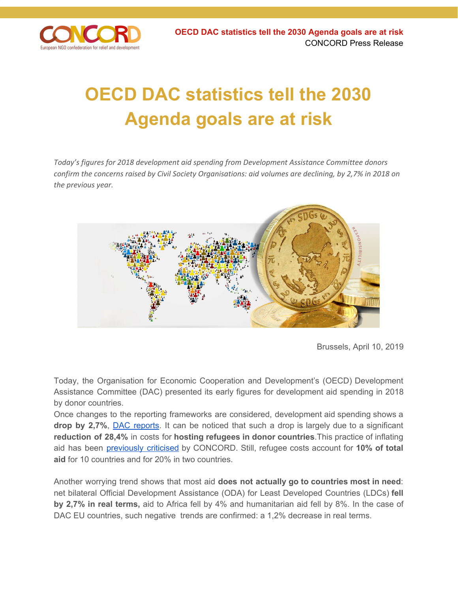

## **OECD DAC statistics tell the 2030 Agenda goals are at risk**

*Today's figures for 2018 development aid spending from Development Assistance Committee donors confirm the concerns raised by Civil Society Organisations: aid volumes are declining, by 2,7% in 2018 on the previous year.*



Brussels, April 10, 2019

Today, the Organisation for Economic Cooperation and Development's (OECD) Development Assistance Committee (DAC) presented its early figures for development aid spending in 2018 by donor countries.

Once changes to the reporting frameworks are considered, development aid spending shows a **drop by 2,7%**, DAC [reports.](http://www.oecd.org/dac/financing-sustainable-development/development-finance-data/ODA-2018-detailed-summary.pdf) It can be noticed that such a drop is largely due to a significant **reduction of 28,4%** in costs for **hosting refugees in donor countries**.This practice of inflating aid has been [previously](https://concordeurope.org/blog/2018/10/17/aidwatch-report-2018/) criticised by CONCORD. Still, refugee costs account for **10% of total aid** for 10 countries and for 20% in two countries.

Another worrying trend shows that most aid **does not actually go to countries most in need**: net bilateral Official Development Assistance (ODA) for Least Developed Countries (LDCs) **fell by 2,7% in real terms,** aid to Africa fell by 4% and humanitarian aid fell by 8%. In the case of DAC EU countries, such negative trends are confirmed: a 1,2% decrease in real terms.